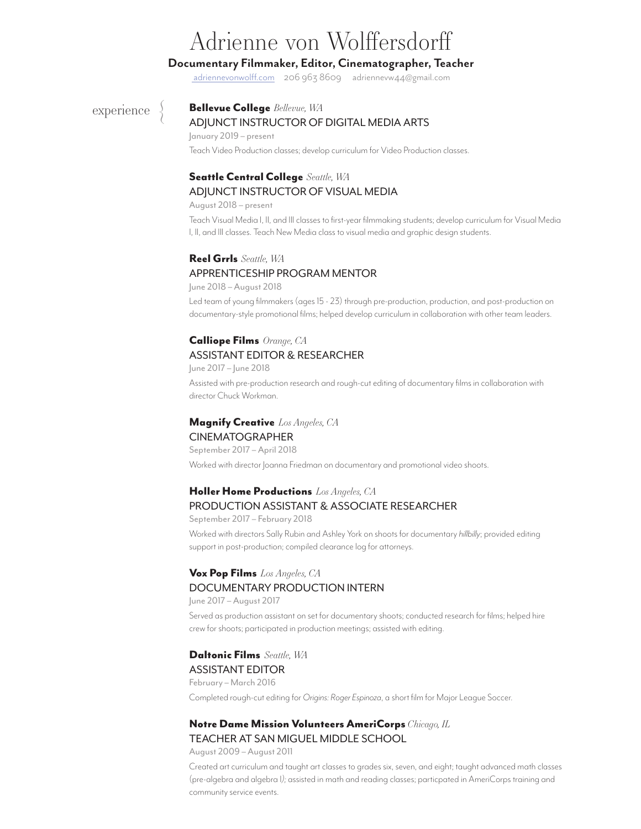# Adrienne von Wolffersdorff

# **Documentary Filmmaker, Editor, Cinematographer, Teacher**

adriennevonwolff.com 206 963 8609 adriennevw44@gmail.com

 $\left\{\begin{matrix} 1 \\ 2 \end{matrix}\right\}$ 

### experience  $\left\{\right.$  **Bellevue College** *Bellevue, WA* ADJUNCT INSTRUCTOR OF DIGITAL MEDIA ARTS

### January 2019 – present Teach Video Production classes; develop curriculum for Video Production classes.

# Seattle Central College *Seattle, WA* ADJUNCT INSTRUCTOR OF VISUAL MEDIA

August 2018 – present

Teach Visual Media I, II, and III classes to first-year filmmaking students; develop curriculum for Visual Media I, II, and III classes. Teach New Media class to visual media and graphic design students.

# Reel Grrls *Seattle, WA* APPRENTICESHIP PROGRAM MENTOR

June 2018 – August 2018 Led team of young filmmakers (ages 15 - 23) through pre-production, production, and post-production on documentary-style promotional films; helped develop curriculum in collaboration with other team leaders.

# Calliope Films *Orange, CA* ASSISTANT EDITOR & RESEARCHER

June 2017 – June 2018

Assisted with pre-production research and rough-cut editing of documentary films in collaboration with director Chuck Workman.

# Magnify Creative *Los Angeles, CA* CINEMATOGRAPHER

September 2017 – April 2018 Worked with director Joanna Friedman on documentary and promotional video shoots.

# Holler Home Productions *Los Angeles, CA* PRODUCTION ASSISTANT & ASSOCIATE RESEARCHER

September 2017 – February 2018

Worked with directors Sally Rubin and Ashley York on shoots for documentary *hillbilly*; provided editing support in post-production; compiled clearance log for attorneys.

# Vox Pop Films *Los Angeles, CA* DOCUMENTARY PRODUCTION INTERN

June 2017 – August 2017

Served as production assistant on set for documentary shoots; conducted research for films; helped hire crew for shoots; participated in production meetings; assisted with editing.

# Daltonic Films *Seattle, WA*

ASSISTANT EDITOR February – March 2016 Completed rough-cut editing for *Origins: Roger Espinoza*, a short film for Major League Soccer.

# Notre Dame Mission Volunteers AmeriCorps *Chicago, IL*

## TEACHER AT SAN MIGUEL MIDDLE SCHOOL

August 2009 – August 2011

Created art curriculum and taught art classes to grades six, seven, and eight; taught advanced math classes (pre-algebra and algebra I*);* assisted in math and reading classes; particpated in AmeriCorps training and community service events.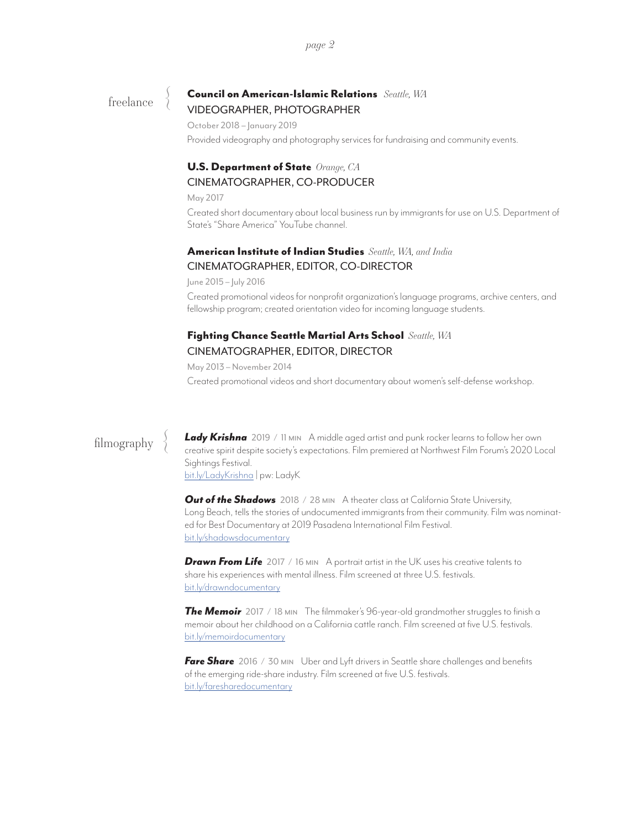freelance

# Council on American-Islamic Relations *Seattle, WA* VIDEOGRAPHER, PHOTOGRAPHER

October 2018 – January 2019

Provided videography and photography services for fundraising and community events.

# U.S. Department of State *Orange, CA* CINEMATOGRAPHER, CO-PRODUCER

May 2017

Created short documentary about local business run by immigrants for use on U.S. Department of State's "Share America" YouTube channel.

# American Institute of Indian Studies *Seattle, WA, and India* CINEMATOGRAPHER, EDITOR, CO-DIRECTOR

June 2015 – July 2016

Created promotional videos for nonprofit organization's language programs, archive centers, and fellowship program; created orientation video for incoming language students.

# Fighting Chance Seattle Martial Arts School *Seattle, WA* CINEMATOGRAPHER, EDITOR, DIRECTOR

May 2013 – November 2014

Created promotional videos and short documentary about women's self-defense workshop.

 $\left\{\right\}$ 

filmography *Lady Krishna* 2019 / 11 min A middle aged artist and punk rocker learns to follow her own creative spirit despite society's expectations. Film premiered at Northwest Film Forum's 2020 Local Sightings Festival. bit.ly/LadyKrishna | pw: LadyK

> **Out of the Shadows** 2018 / 28 MIN A theater class at California State University, Long Beach, tells the stories of undocumented immigrants from their community. Film was nominated for Best Documentary at 2019 Pasadena International Film Festival. bit.ly/shadowsdocumentary

*Drawn From Life* 2017 / 16 min A portrait artist in the UK uses his creative talents to share his experiences with mental illness. Film screened at three U.S. festivals. bit.ly/drawndocumentary

**The Memoir** 2017 / 18 MIN The filmmaker's 96-year-old grandmother struggles to finish a memoir about her childhood on a California cattle ranch. Film screened at five U.S. festivals. bit.ly/memoirdocumentary

*Fare Share* 2016 / 30 min Uber and Lyft drivers in Seattle share challenges and benefits of the emerging ride-share industry. Film screened at five U.S. festivals. bit.ly/faresharedocumentary